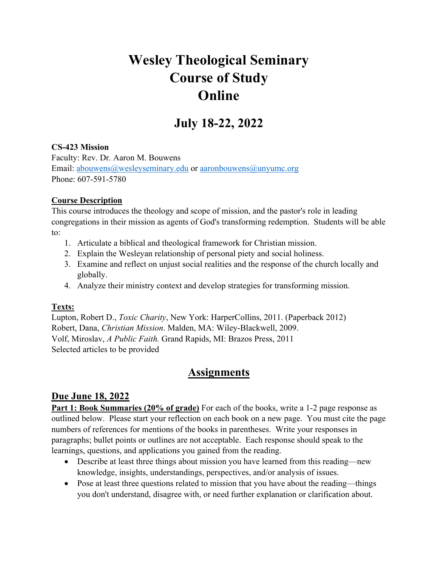# **Wesley Theological Seminary Course of Study Online**

## **July 18-22, 2022**

#### **CS-423 Mission**

Faculty: Rev. Dr. Aaron M. Bouwens Email: abouwens@wesleyseminary.edu or aaronbouwens@unyumc.org Phone: 607-591-5780

#### **Course Description**

This course introduces the theology and scope of mission, and the pastor's role in leading congregations in their mission as agents of God's transforming redemption. Students will be able to:

- 1. Articulate a biblical and theological framework for Christian mission.
- 2. Explain the Wesleyan relationship of personal piety and social holiness.
- 3. Examine and reflect on unjust social realities and the response of the church locally and globally.
- 4. Analyze their ministry context and develop strategies for transforming mission.

#### **Texts:**

Lupton, Robert D., *Toxic Charity*, New York: HarperCollins, 2011. (Paperback 2012) Robert, Dana, *Christian Mission*. Malden, MA: Wiley-Blackwell, 2009. Volf, Miroslav, *A Public Faith.* Grand Rapids, MI: Brazos Press, 2011 Selected articles to be provided

## **Assignments**

#### **Due June 18, 2022**

**Part 1: Book Summaries (20% of grade)** For each of the books, write a 1-2 page response as outlined below. Please start your reflection on each book on a new page. You must cite the page numbers of references for mentions of the books in parentheses. Write your responses in paragraphs; bullet points or outlines are not acceptable. Each response should speak to the learnings, questions, and applications you gained from the reading.

- Describe at least three things about mission you have learned from this reading—new knowledge, insights, understandings, perspectives, and/or analysis of issues.
- Pose at least three questions related to mission that you have about the reading—things you don't understand, disagree with, or need further explanation or clarification about.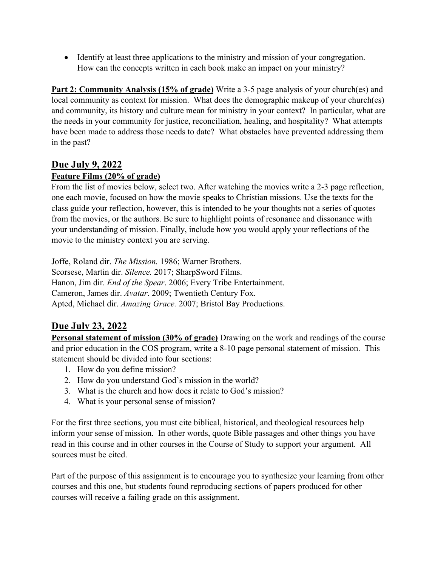• Identify at least three applications to the ministry and mission of your congregation. How can the concepts written in each book make an impact on your ministry?

**Part 2: Community Analysis (15% of grade)** Write a 3-5 page analysis of your church(es) and local community as context for mission. What does the demographic makeup of your church(es) and community, its history and culture mean for ministry in your context? In particular, what are the needs in your community for justice, reconciliation, healing, and hospitality? What attempts have been made to address those needs to date? What obstacles have prevented addressing them in the past?

#### **Due July 9, 2022**

#### **Feature Films (20% of grade)**

From the list of movies below, select two. After watching the movies write a 2-3 page reflection, one each movie, focused on how the movie speaks to Christian missions. Use the texts for the class guide your reflection, however, this is intended to be your thoughts not a series of quotes from the movies, or the authors. Be sure to highlight points of resonance and dissonance with your understanding of mission. Finally, include how you would apply your reflections of the movie to the ministry context you are serving.

Joffe, Roland dir. *The Mission.* 1986; Warner Brothers. Scorsese, Martin dir. *Silence.* 2017; SharpSword Films. Hanon, Jim dir. *End of the Spear*. 2006; Every Tribe Entertainment. Cameron, James dir. *Avatar*. 2009; Twentieth Century Fox. Apted, Michael dir. *Amazing Grace.* 2007; Bristol Bay Productions.

## **Due July 23, 2022**

**Personal statement of mission (30% of grade)** Drawing on the work and readings of the course and prior education in the COS program, write a 8-10 page personal statement of mission. This statement should be divided into four sections:

- 1. How do you define mission?
- 2. How do you understand God's mission in the world?
- 3. What is the church and how does it relate to God's mission?
- 4. What is your personal sense of mission?

For the first three sections, you must cite biblical, historical, and theological resources help inform your sense of mission. In other words, quote Bible passages and other things you have read in this course and in other courses in the Course of Study to support your argument. All sources must be cited.

Part of the purpose of this assignment is to encourage you to synthesize your learning from other courses and this one, but students found reproducing sections of papers produced for other courses will receive a failing grade on this assignment.